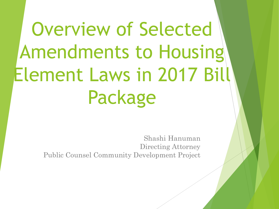# Overview of Selected Amendments to Housing Element Laws in 2017 Bill Package

Shashi Hanuman Directing Attorney Public Counsel Community Development Project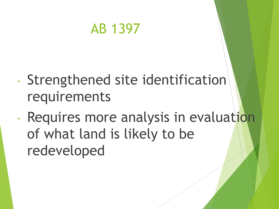## AB 1397

- Strengthened site identification requirements
- Requires more analysis in evaluation of what land is likely to be redeveloped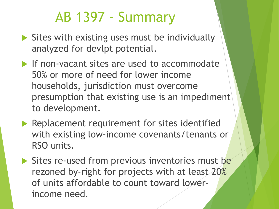# AB 1397 - Summary

- $\triangleright$  Sites with existing uses must be individually analyzed for devlpt potential.
- If non-vacant sites are used to accommodate 50% or more of need for lower income households, jurisdiction must overcome presumption that existing use is an impediment to development.
- Replacement requirement for sites identified with existing low-income covenants/tenants or RSO units.
- Sites re-used from previous inventories must be rezoned by-right for projects with at least 20% of units affordable to count toward lowerincome need.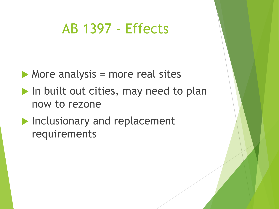## AB 1397 - Effects

- $\blacktriangleright$  More analysis = more real sites
- In built out cities, may need to plan now to rezone
- **Inclusionary and replacement** requirements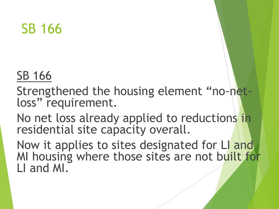SB 166

#### SB 166

Strengthened the housing element "no-netloss" requirement.

No net loss already applied to reductions in residential site capacity overall.

Now it applies to sites designated for LI and MI housing where those sites are not built for LI and MI.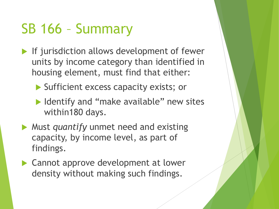# SB 166 – Summary

- If jurisdiction allows development of fewer units by income category than identified in housing element, must find that either:
	- Sufficient excess capacity exists; or
	- ▶ Identify and "make available" new sites within180 days.
- Must *quantify* unmet need and existing capacity, by income level, as part of findings.
- ▶ Cannot approve development at lower density without making such findings.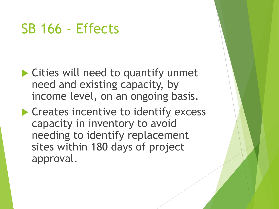## SB 166 - Effects

- ▶ Cities will need to quantify unmet need and existing capacity, by income level, on an ongoing basis.
- **Creates incentive to identify excess** capacity in inventory to avoid needing to identify replacement sites within 180 days of project approval.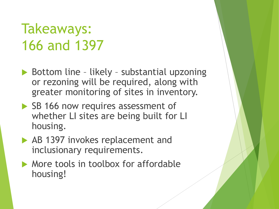# Takeaways: 166 and 1397

- ▶ Bottom line likely substantial upzoning or rezoning will be required, along with greater monitoring of sites in inventory.
- SB 166 now requires assessment of whether LI sites are being built for LI housing.
- AB 1397 invokes replacement and inclusionary requirements.
- More tools in toolbox for affordable housing!